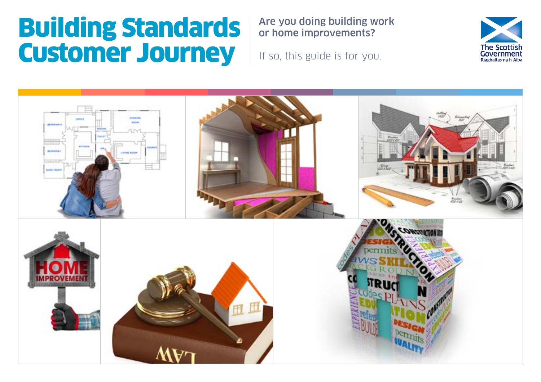# Building Standards Customer Journey

Are you doing building work or home improvements?

If so, this guide is for you.



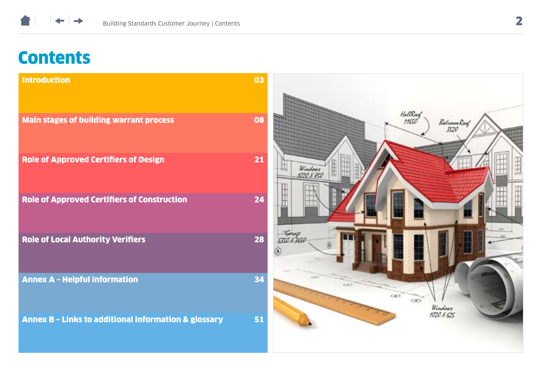

## **Contents**

| <b>Introduction</b>                                             | 03 |                                 |
|-----------------------------------------------------------------|----|---------------------------------|
| <b>Main stages of building warrant process</b>                  | 08 | HallRood<br>BedroomRoof<br>3520 |
| <b>Role of Approved Certifiers of Design</b>                    | 21 | Windows<br>1020 X 850           |
| <b>Role of Approved Certifiers of Construction</b>              | 24 |                                 |
| <b>Role of Local Authority Verifiers</b>                        | 28 | Carrell<br>535O S 3650          |
| <b>Annex A - Helpful information</b>                            | 34 |                                 |
| <b>Annex B - Links to additional information &amp; glossary</b> | 51 | œ<br>Windows<br>1020 X 625      |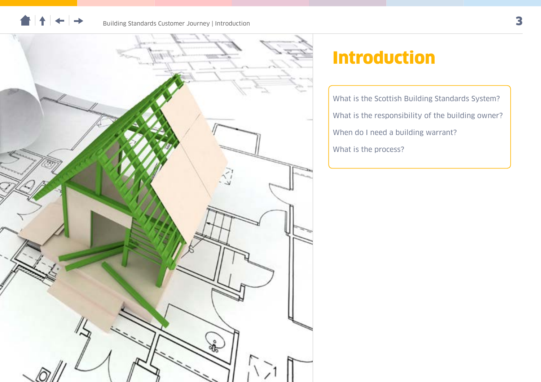

## Introduction

[What is the Scottish Building Standards System?](#page-3-0) [What is the responsibility of the building owner?](#page-4-0) [When do I need a building warrant?](#page-5-0) [What is the process?](#page-6-0)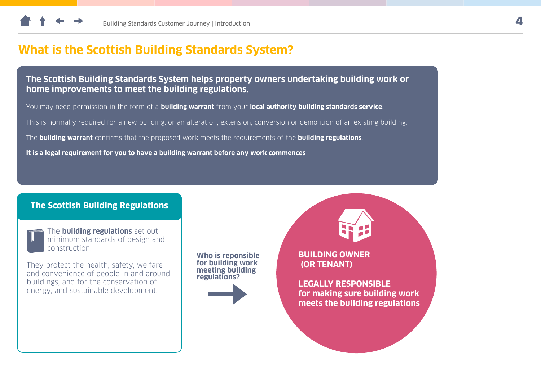<span id="page-3-0"></span>

### **What is the Scottish Building Standards System?**

**The Scottish Building Standards System helps property owners undertaking building work or home improvements to meet the building regulations.**

You may need permission in the form of a **building warrant** from your **local authority building standards service**.

This is normally required for a new building, or an alteration, extension, conversion or demolition of an existing building.

The **building warrant** confirms that the proposed work meets the requirements of the **building regulations**.

**It is a legal requirement for you to have a building warrant before any work commences** 

#### **The Scottish Building Regulations**



The **building regulations** set out minimum standards of design and construction.

They protect the health, safety, welfare and convenience of people in and around buildings, and for the conservation of energy, and sustainable development.

**Who is reponsible for building work meeting building regulations?**

**BUILDING OWNER (OR TENANT)**

**LEGALLY RESPONSIBLE for making sure building work meets the building regulations**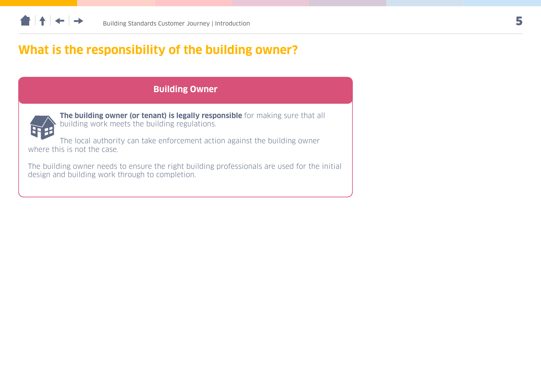<span id="page-4-0"></span>

### **What is the responsibility of the building owner?**

### **Building Owner**



**The building owner (or tenant) is legally responsible** for making sure that all building work meets the building regulations.

The local authority can take enforcement action against the building owner where this is not the case.

The building owner needs to ensure the right building professionals are used for the initial design and building work through to completion.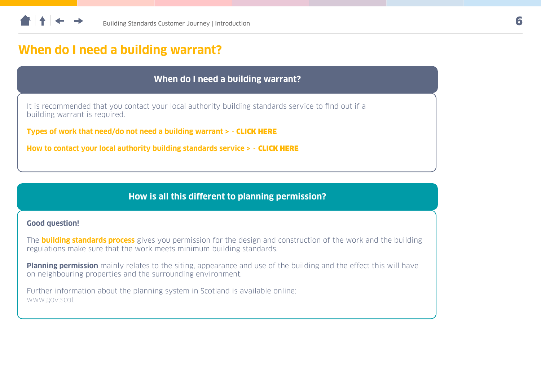<span id="page-5-0"></span>

### **When do I need a building warrant?**

#### **When do I need a building warrant?**

It is recommended that you contact your local authority building standards service to find out if a building warrant is required.

**Types of work that need/do not need a building warrant >** - [CLICK HERE](#page-34-0)

**How to contact your local authority building standards service >** - [CLICK HERE](#page-39-0)

#### **How is all this different to planning permission?**

#### **Good question!**

The **building standards process** gives you permission for the design and construction of the work and the building regulations make sure that the work meets minimum building standards.

**Planning permission** mainly relates to the siting, appearance and use of the building and the effect this will have on neighbouring properties and the surrounding environment.

Further information about the planning system in Scotland is available online: [www.gov.scot](http://www.gov.scot)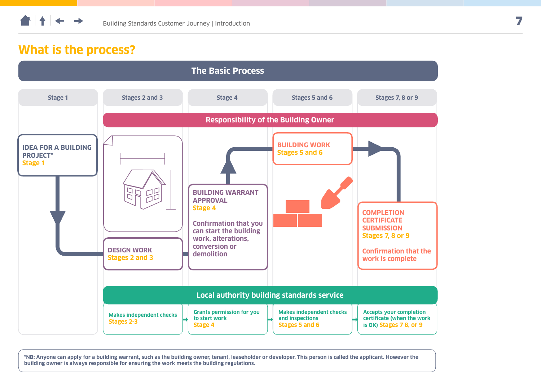<span id="page-6-0"></span>

### **What is the process?**



**\*NB: Anyone can apply for a building warrant, such as the building owner, tenant, leaseholder or developer. This person is called the applicant. However the building owner is always responsible for ensuring the work meets the building regulations.**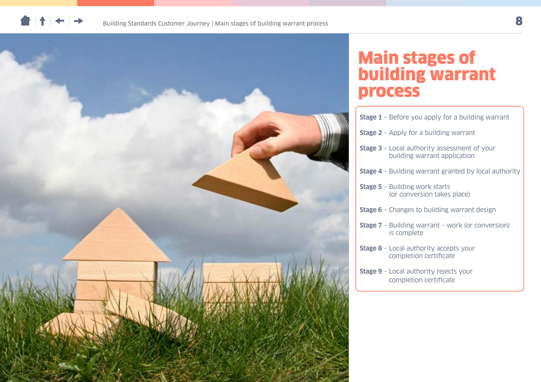



## Main stages of building warrant process

| <b>Stage 1</b> - Before you apply for a building warrant                            |
|-------------------------------------------------------------------------------------|
| <b>Stage 2</b> - Apply for a building warrant                                       |
| <b>Stage 3</b> - Local authority assessment of your<br>building warrant application |
| <b>Stage 4</b> - Building warrant granted by local authority                        |
| <b>Stage 5 - Building work starts</b><br>(or conversion takes place)                |
| <b>Stage 6</b> - Changes to building warrant design                                 |
| <b>Stage 7</b> - Building warrant - work (or conversion)<br>is complete             |
| <b>Stage 8</b> - Local authority accepts your<br>completion certificate             |
| <b>Stage 9</b> - Local authority rejects your<br>completion certificate             |
|                                                                                     |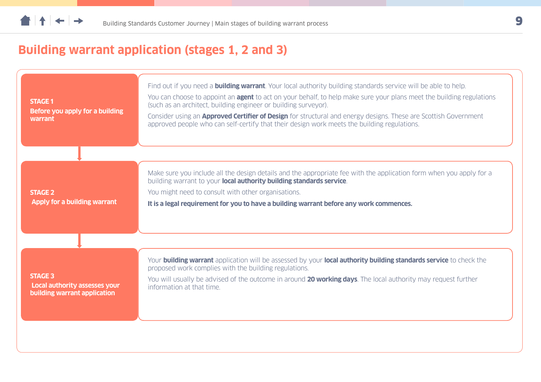## **Building warrant application (stages 1, 2 and 3)**

| <b>STAGE 1</b><br>Before you apply for a building<br>warrant                           | Find out if you need a <b>building warrant</b> . Your local authority building standards service will be able to help.<br>You can choose to appoint an <b>agent</b> to act on your behalf, to help make sure your plans meet the building regulations<br>(such as an architect, building engineer or building surveyor).<br>Consider using an <b>Approved Certifier of Design</b> for structural and energy designs. These are Scottish Government<br>approved people who can self-certify that their design work meets the building regulations. |
|----------------------------------------------------------------------------------------|---------------------------------------------------------------------------------------------------------------------------------------------------------------------------------------------------------------------------------------------------------------------------------------------------------------------------------------------------------------------------------------------------------------------------------------------------------------------------------------------------------------------------------------------------|
| <b>STAGE 2</b><br><b>Apply for a building warrant</b>                                  | Make sure you include all the design details and the appropriate fee with the application form when you apply for a<br>building warrant to your local authority building standards service.<br>You might need to consult with other organisations.<br>It is a legal requirement for you to have a building warrant before any work commences.                                                                                                                                                                                                     |
| <b>STAGE 3</b><br><b>Local authority assesses your</b><br>building warrant application | Your building warrant application will be assessed by your local authority building standards service to check the<br>proposed work complies with the building regulations.<br>You will usually be advised of the outcome in around 20 working days. The local authority may request further<br>information at that time.                                                                                                                                                                                                                         |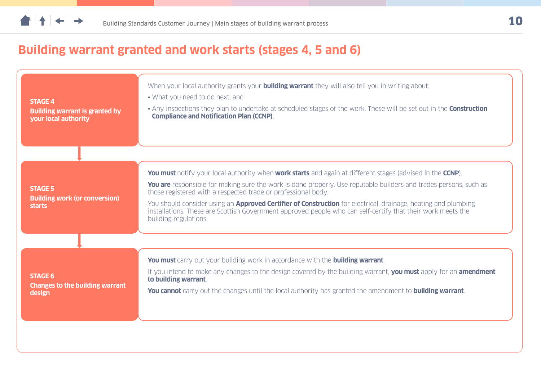## **Building warrant granted and work starts (stages 4, 5 and 6)**

| <b>STAGE 4</b><br><b>Building warrant is granted by</b><br>your local authority | When your local authority grants your <b>building warrant</b> they will also tell you in writing about:<br>• What you need to do next; and<br>• Any inspections they plan to undertake at scheduled stages of the work. These will be set out in the <b>Construction</b><br><b>Compliance and Notification Plan (CCNP).</b>                                                                                                                                                                                                                                                             |
|---------------------------------------------------------------------------------|-----------------------------------------------------------------------------------------------------------------------------------------------------------------------------------------------------------------------------------------------------------------------------------------------------------------------------------------------------------------------------------------------------------------------------------------------------------------------------------------------------------------------------------------------------------------------------------------|
| <b>STAGE 5</b><br><b>Building work (or conversion)</b><br>starts                | <b>You must</b> notify your local authority when <b>work starts</b> and again at different stages (advised in the <b>CCNP</b> ).<br>You are responsible for making sure the work is done properly. Use reputable builders and trades persons, such as<br>those registered with a respected trade or professional body.<br>You should consider using an <b>Approved Certifier of Construction</b> for electrical, drainage, heating and plumbing<br>installations. These are Scottish Government approved people who can self-certify that their work meets the<br>building regulations. |
| <b>STAGE 6</b><br><b>Changes to the building warrant</b><br>design              | You must carry out your building work in accordance with the building warrant.<br>If you intend to make any changes to the design covered by the building warrant, you must apply for an amendment<br>to building warrant.<br><b>You cannot</b> carry out the changes until the local authority has granted the amendment to <b>building warrant</b> .                                                                                                                                                                                                                                  |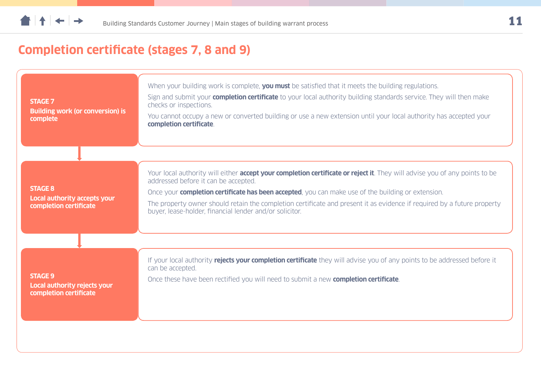## **Completion certificate (stages 7, 8 and 9)**

| <b>STAGE 7</b><br><b>Building work (or conversion) is</b><br>complete    | When your building work is complete, you must be satisfied that it meets the building regulations.<br>Sign and submit your <b>completion certificate</b> to your local authority building standards service. They will then make<br>checks or inspections.<br>You cannot occupy a new or converted building or use a new extension until your local authority has accepted your<br>completion certificate.                                                                     |
|--------------------------------------------------------------------------|--------------------------------------------------------------------------------------------------------------------------------------------------------------------------------------------------------------------------------------------------------------------------------------------------------------------------------------------------------------------------------------------------------------------------------------------------------------------------------|
| <b>STAGE 8</b><br>Local authority accepts your<br>completion certificate | Your local authority will either <b>accept your completion certificate or reject it</b> . They will advise you of any points to be<br>addressed before it can be accepted.<br>Once your <b>completion certificate has been accepted</b> , you can make use of the building or extension.<br>The property owner should retain the completion certificate and present it as evidence if required by a future property<br>buyer, lease-holder, financial lender and/or solicitor. |
| <b>STAGE 9</b><br>Local authority rejects your<br>completion certificate | If your local authority rejects your completion certificate they will advise you of any points to be addressed before it<br>can be accepted.<br>Once these have been rectified you will need to submit a new <b>completion certificate</b> .                                                                                                                                                                                                                                   |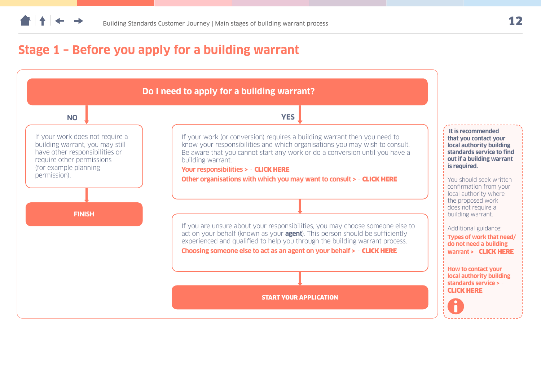<span id="page-11-0"></span>

### **Stage 1 – Before you apply for a building warrant**

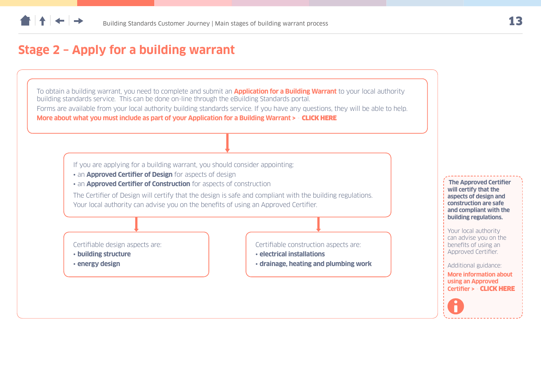### <span id="page-12-0"></span>**Stage 2 – Apply for a building warrant**

To obtain a building warrant, you need to complete and submit an **Application for a Building Warrant** to your local authority building standards service. This can be done on-line through the eBuilding Standards portal.

Forms are available from your local authority building standards service. If you have any questions, they will be able to help. **More about what you must include as part of your Application for a Building Warrant >** - [CLICK HERE](#page-43-0)

If you are applying for a building warrant, you should consider appointing:

- an **Approved Certifier of Design** for aspects of design
- an **Approved Certifier of Construction** for aspects of construction

The Certifier of Design will certify that the design is safe and compliant with the building regulations. Your local authority can advise you on the benefits of using an Approved Certifier.

Certifiable design aspects are:

- **building structure**
- **energy design**

Certifiable construction aspects are:

- **electrical installations**
- **drainage, heating and plumbing work**

**The Approved Certifier will certify that the aspects of design and construction are safe and compliant with the building regulations.** Your local authority can advise you on the benefits of using an Approved Certifier. Additional guidance: **More information about using an Approved Certifier >** - [CLICK HERE](#page-41-0)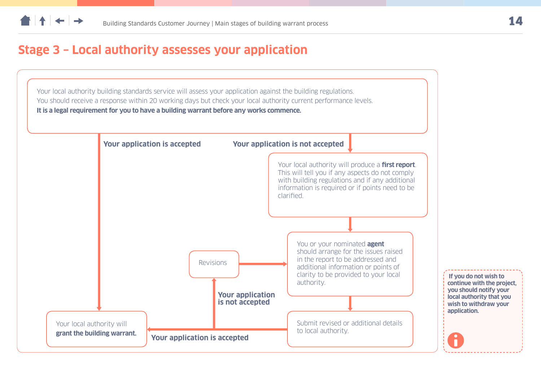### <span id="page-13-0"></span>**Stage 3 – Local authority assesses your application**

Your local authority building standards service will assess your application against the building regulations. You should receive a response within 20 working days but check your local authority current performance levels. **It is a legal requirement for you to have a building warrant before any works commence.**

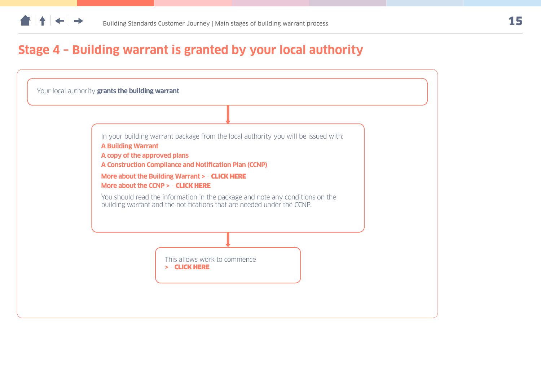### <span id="page-14-0"></span>**Stage 4 – Building warrant is granted by your local authority**

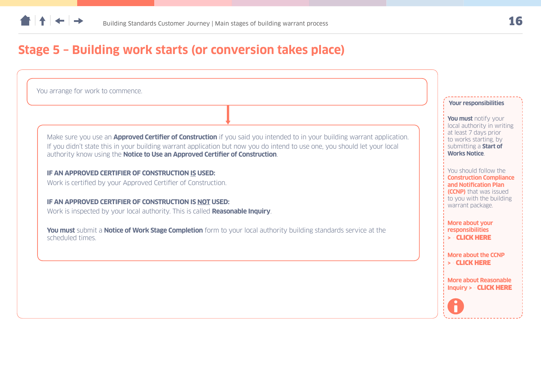<span id="page-15-0"></span>

### **Stage 5 – Building work starts (or conversion takes place)**

You arrange for work to commence.

Make sure you use an **Approved Certifier of Construction** if you said you intended to in your building warrant application. If you didn't state this in your building warrant application but now you do intend to use one, you should let your local authority know using the **Notice to Use an Approved Certifier of Construction**.

**IF AN APPROVED CERTIFIER OF CONSTRUCTION IS USED:** 

Work is certified by your Approved Certifier of Construction.

**IF AN APPROVED CERTIFIER OF CONSTRUCTION IS NOT USED:**

Work is inspected by your local authority. This is called **Reasonable Inquiry**.

**You must** submit a **Notice of Work Stage Completion** form to your local authority building standards service at the scheduled times.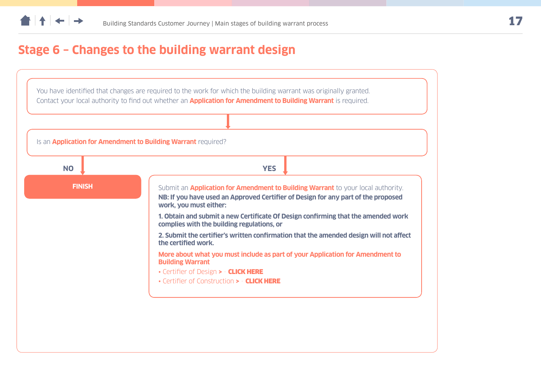### <span id="page-16-0"></span>**Stage 6 – Changes to the building warrant design**

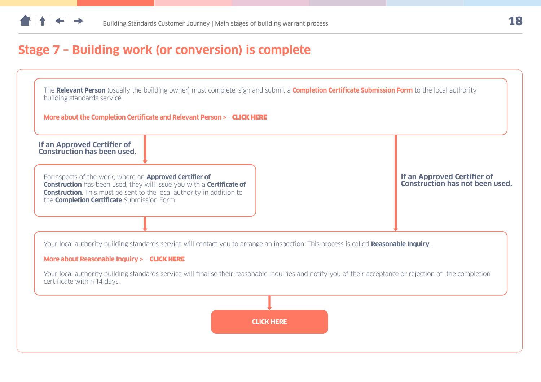<span id="page-17-0"></span>

## **Stage 7 – Building work (or conversion) is complete**

| If an Approved Certifier of<br>Construction has been used.                                                          |                                                                                                                                                                     |                                                                |
|---------------------------------------------------------------------------------------------------------------------|---------------------------------------------------------------------------------------------------------------------------------------------------------------------|----------------------------------------------------------------|
| For aspects of the work, where an <b>Approved Certifier of</b><br>the <b>Completion Certificate</b> Submission Form | <b>Construction</b> has been used, they will issue you with a <b>Certificate of</b><br><b>Construction.</b> This must be sent to the local authority in addition to | If an Approved Certifier of<br>Construction has not been used. |
|                                                                                                                     | Your local authority building standards service will contact you to arrange an inspection. This process is called Reasonable Inquiry.                               |                                                                |
| More about Reasonable Inquiry > - CLICK HERE<br>certificate within 14 days.                                         | Your local authority building standards service will finalise their reasonable inquiries and notify you of their acceptance or rejection of the completion          |                                                                |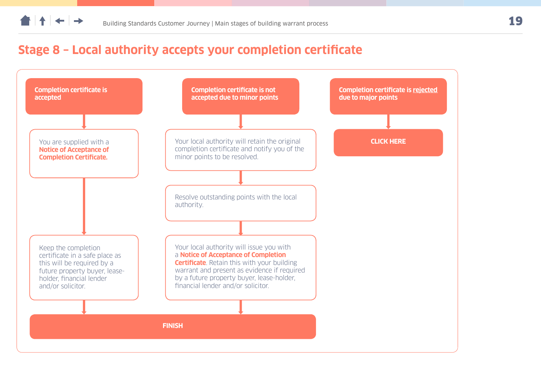### <span id="page-18-0"></span>**Stage 8 – Local authority accepts your completion certificate**

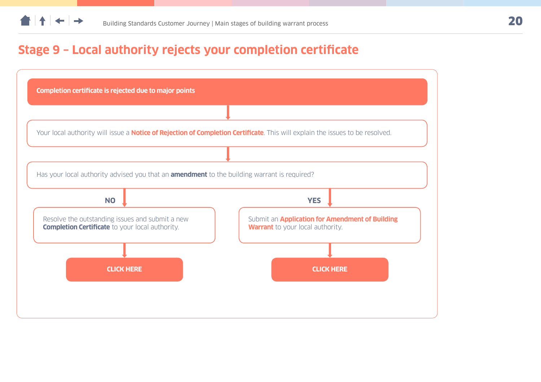### <span id="page-19-0"></span>**Stage 9 – Local authority rejects your completion certificate**

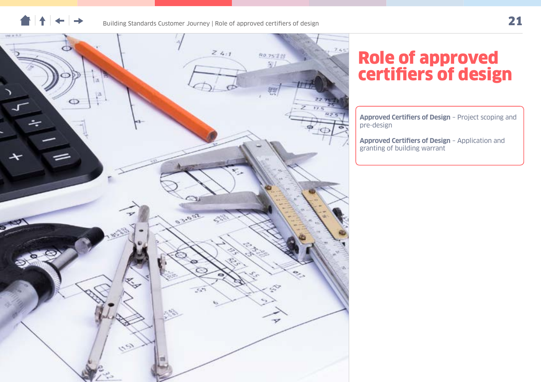



## Role of approved certifiers of design

**[Approved Certifiers of Design](#page-21-0)** – Project scoping and [pre-design](#page-21-0)

**[Approved Certifiers of Design](#page-22-0)** – Application and [granting of building warrant](#page-22-0)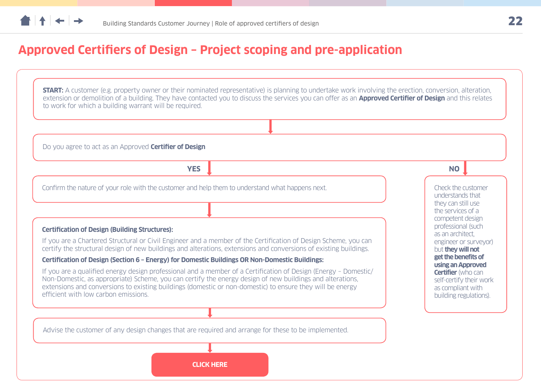### <span id="page-21-0"></span>**Approved Certifiers of Design – Project scoping and pre-application**

**START:** A customer (e.g. property owner or their nominated representative) is planning to undertake work involving the erection, conversion, alteration, extension or demolition of a building. They have contacted you to discuss the services you can offer as an **Approved Certifier of Design** and this relates to work for which a building warrant will be required.

Do you agree to act as an Approved **Certifier of Design**

**YES NO**

Confirm the nature of your role with the customer and help them to understand what happens next.

#### **Certification of Design (Building Structures):**

If you are a Chartered Structural or Civil Engineer and a member of the Certification of Design Scheme, you can certify the structural design of new buildings and alterations, extensions and conversions of existing buildings.

#### **Certification of Design (Section 6 – Energy) for Domestic Buildings OR Non-Domestic Buildings:**

If you are a qualified energy design professional and a member of a Certification of Design (Energy – Domestic/ Non-Domestic, as appropriate) Scheme, you can certify the energy design of new buildings and alterations, extensions and conversions to existing buildings (domestic or non-domestic) to ensure they will be energy efficient with low carbon emissions.

Advise the customer of any design changes that are required and arrange for these to be implemented.

Check the customer understands that they can still use the services of a competent design professional (such as an architect, engineer or surveyor) but **they will not get the benefits of using an Approved Certifier** (who can self-certify their work as compliant with building regulations).

**CLICK HERE**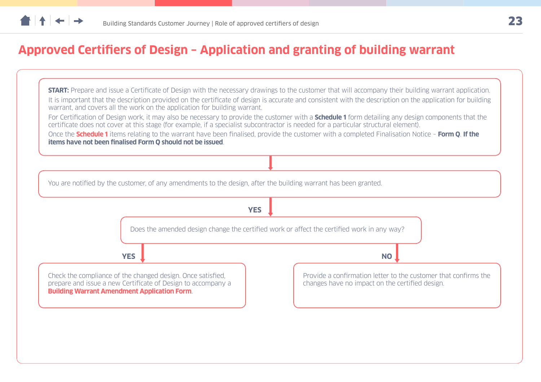### <span id="page-22-0"></span>**Approved Certifiers of Design – Application and granting of building warrant**

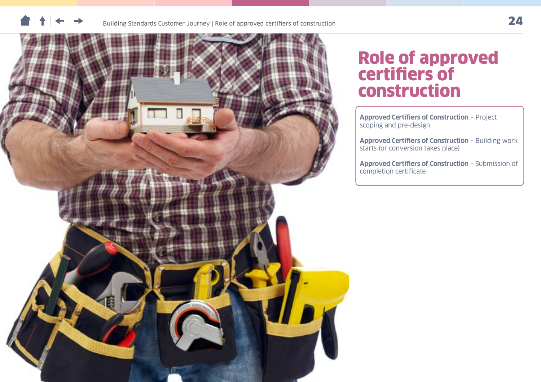



## Role of approved certifiers of construction

**[Approved Certifiers of Construction](#page-24-0)** – Project [scoping and pre-design](#page-24-0)

**[Approved Certifiers of Construction](#page-25-0)** – Building work [starts \(or conversion takes place\)](#page-25-0)

**[Approved Certifiers of Construction](#page-26-0)** – Submission of [completion certificate](#page-26-0)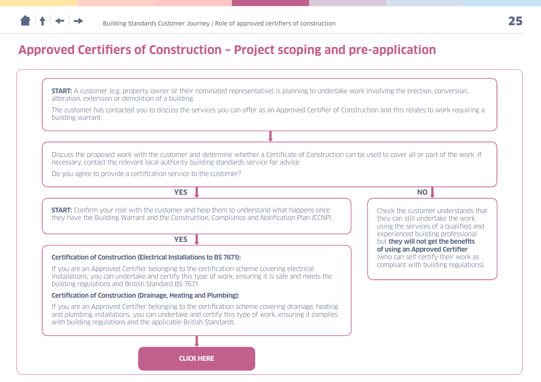### <span id="page-24-0"></span>**Approved Certifiers of Construction – Project scoping and pre-application**

**START:** A customer (e.g. property owner or their nominated representative) is planning to undertake work involving the erection, conversion, alteration, extension or demolition of a building.

The customer has contacted you to discuss the services you can offer as an Approved Certifier of Construction and this relates to work requiring a building warrant.

Discuss the proposed work with the customer and determine whether a Certificate of Construction can be used to cover all or part of the work. If necessary, contact the relevant local authority building standards service for advice.

Do you agree to provide a certification service to the customer?

**YES I** 

**START:** Confirm your role with the customer and help them to understand what happens once they have the Building Warrant and the Construction, Compliance and Notification Plan (CCNP).

**YES**

#### **Certification of Construction (Electrical Installations to BS 7671):**

If you are an Approved Certifier belonging to the certification scheme covering electrical installations, you can undertake and certify this type of work, ensuring it is safe and meets the building regulations and British Standard BS 7671.

#### **Certification of Construction (Drainage, Heating and Plumbing):**

If you are an Approved Certifier belonging to the certification scheme covering drainage, heating and plumbing installations, you can undertake and certify this type of work, ensuring it complies with building regulations and the applicable British Standards.

Check the customer understands that they can still undertake the work using the services of a qualified and experienced building professional but **they will not get the benefits of using an Approved Certifier** (who can self-certify their work as compliant with building regulations).

**CLICK HERE**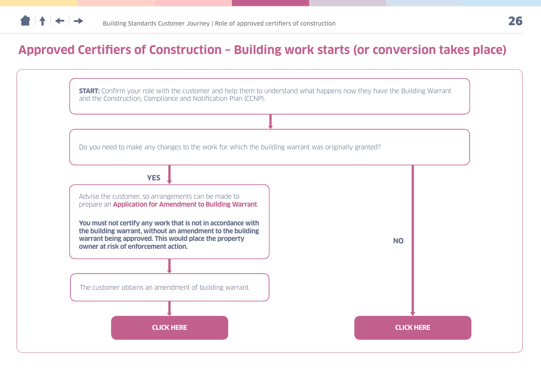### <span id="page-25-0"></span>**Approved Certifiers of Construction – Building work starts (or conversion takes place)**

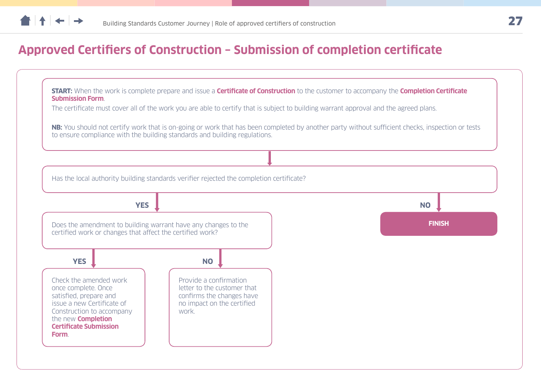### <span id="page-26-0"></span>**Approved Certifiers of Construction – Submission of completion certificate**

**START:** When the work is complete prepare and issue a **Certificate of Construction** to the customer to accompany the **Completion Certificate Submission Form**.

The certificate must cover all of the work you are able to certify that is subject to building warrant approval and the agreed plans.

**NB:** You should not certify work that is on-going or work that has been completed by another party without sufficient checks, inspection or tests to ensure compliance with the building standards and building regulations.

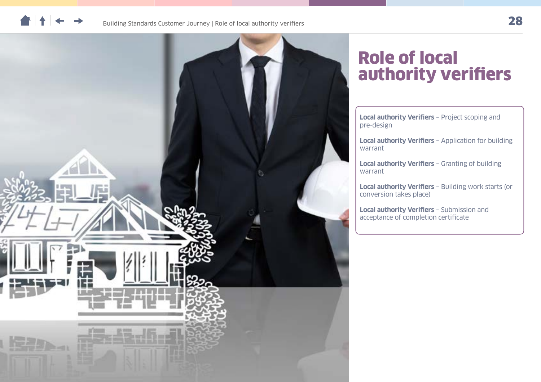



## Role of local authority verifiers

**[Local authority Verifiers](#page-28-0)** – Project scoping and [pre-design](#page-28-0)

**Local authority Verifiers** [– Application for building](#page-29-0)  [warrant](#page-29-0)

**[Local authority Verifiers](#page-30-0)** – Granting of building [warrant](#page-30-0)

**Local authority Verifiers** [– Building work starts \(or](#page-31-0)  [conversion takes place\)](#page-31-0)

**[Local authority Verifiers](#page-32-0)** – Submission and [acceptance of completion certificate](#page-32-0)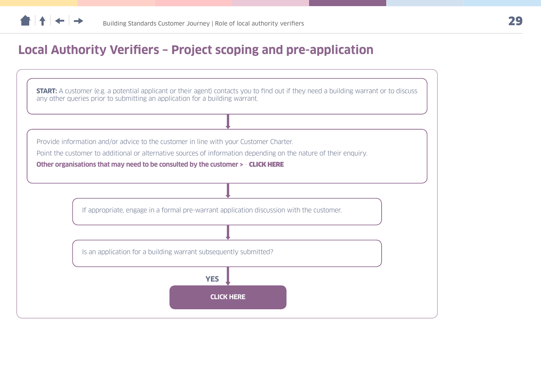<span id="page-28-0"></span>

### **Local Authority Verifiers – Project scoping and pre-application**

**START:** A customer (e.g. a potential applicant or their agent) contacts you to find out if they need a building warrant or to discuss any other queries prior to submitting an application for a building warrant.

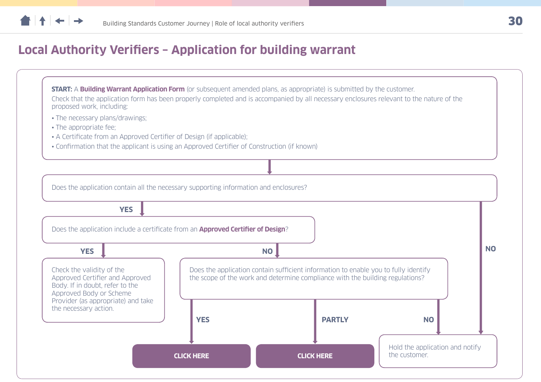<span id="page-29-0"></span>

### **Local Authority Verifiers – Application for building warrant**

**START:** A **Building Warrant Application Form** (or subsequent amended plans, as appropriate) is submitted by the customer. Check that the application form has been properly completed and is accompanied by all necessary enclosures relevant to the nature of the proposed work, including:

- The necessary plans/drawings;
- The appropriate fee;
- A Certificate from an Approved Certifier of Design (if applicable);
- Confirmation that the applicant is using an Approved Certifier of Construction (if known)



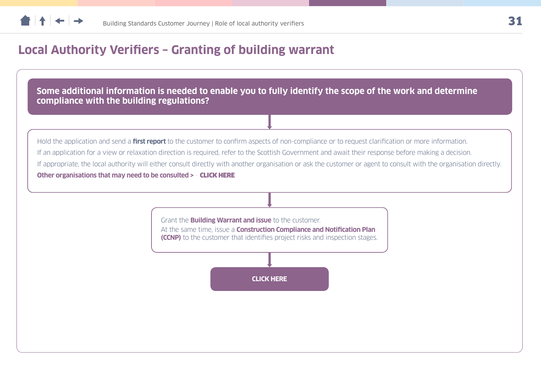<span id="page-30-0"></span>

### **Local Authority Verifiers – Granting of building warrant**

**Some additional information is needed to enable you to fully identify the scope of the work and determine compliance with the building regulations?**

Hold the application and send a **first report** to the customer to confirm aspects of non-compliance or to request clarification or more information. If an application for a view or relaxation direction is required, refer to the Scottish Government and await their response before making a decision. If appropriate, the local authority will either consult directly with another organisation or ask the customer or agent to consult with the organisation directly. **Other organisations that may need to be consulted >** - [CLICK HERE](#page-37-0)

> Grant the **Building Warrant and issue** to the customer. At the same time, issue a **Construction Compliance and Notification Plan (CCNP)** to the customer that identifies project risks and inspection stages.

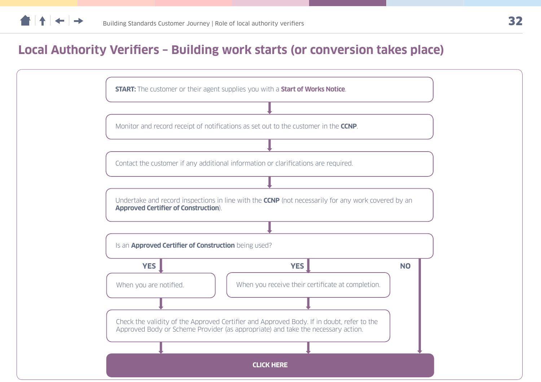<span id="page-31-0"></span>

### **Local Authority Verifiers – Building work starts (or conversion takes place)**

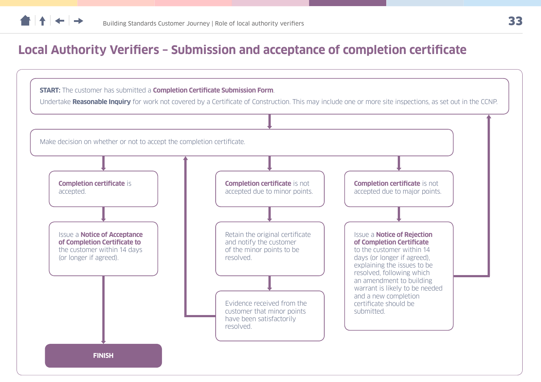<span id="page-32-0"></span>

### **Local Authority Verifiers – Submission and acceptance of completion certificate**

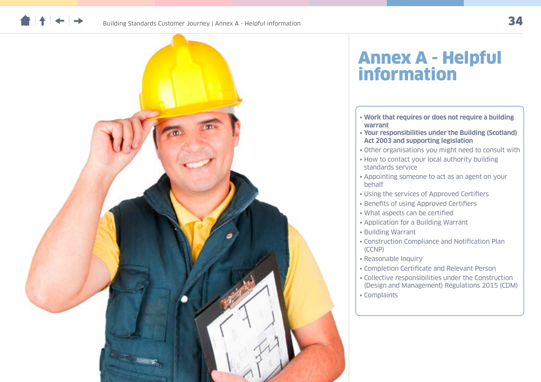



## Annex A - Helpful information

- **[Work that requires or does not require a building](#page-34-0)  [warrant](#page-34-0)**
- **[Your responsibilities under the Building \(Scotland\)](#page-36-0)  [Act 2003 and supporting legislation](#page-36-0)**
- [Other organisations you might need to consult with](#page-37-0)
- [How to contact your local authority building](#page-39-0)  [standards service](#page-39-0)
- [Appointing someone to act as an agent on your](#page-40-0)  [behalf](#page-40-0)
- [Using the services of Approved Certifiers](#page-41-0)
- [Benefits of using Approved Certifiers](#page-42-0)
- [What aspects can be certified](#page-41-0)
- [Application for a Building Warrant](#page-43-0)
- [Building Warrant](#page-44-0)
- [Construction Compliance and Notification Plan](#page-45-0)  [\(CCNP\)](#page-45-0)
- [Reasonable Inquiry](#page-46-0)
- [Completion Certificate and Relevant Person](#page-47-0)
- [Collective responsibilities under the Construction](#page-48-0)  [\(Design and Management\) Regulations 2015 \(CDM\)](#page-48-0) • [Complaints](#page-49-0)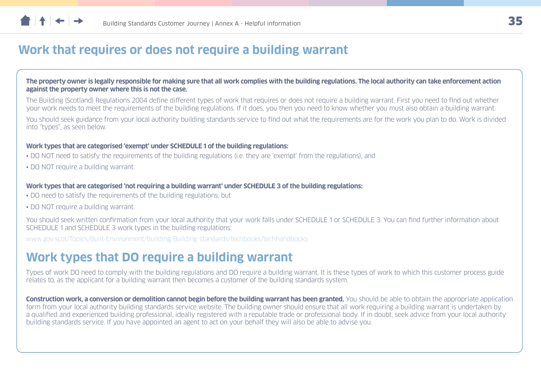### <span id="page-34-0"></span>**Work that requires or does not require a building warrant**

**The property owner is legally responsible for making sure that all work complies with the building regulations. The local authority can take enforcement action against the property owner where this is not the case.**

The Building (Scotland) Regulations 2004 define different types of work that requires or does not require a building warrant. First you need to find out whether your work needs to meet the requirements of the building regulations. If it does, you then you need to know whether you must also obtain a building warrant.

You should seek guidance from your local authority building standards service to find out what the requirements are for the work you plan to do. Work is divided into "types", as seen below.

#### **Work types that are categorised 'exempt' under SCHEDULE 1 of the building regulations:**

- DO NOT need to satisfy the requirements of the building regulations (i.e. they are 'exempt' from the regulations); and
- DO NOT require a building warrant.

#### **Work types that are categorised 'not requiring a building warrant' under SCHEDULE 3 of the building regulations:**

- DO need to satisfy the requirements of the building regulations; but
- DO NOT require a building warrant.

You should seek written confirmation from your local authority that your work falls under SCHEDULE 1 or SCHEDULE 3. You can find further information about SCHEDULE 1 and SCHEDULE 3 work types in the building regulations:

[www.gov.scot/Topics/Built-Environment/Building/Building-standards/techbooks/techhandbooks](http://www.gov.scot/Topics/Built-Environment/Building/Building-standards/techbooks/techhandbooks)

### **Work types that DO require a building warrant**

Types of work DO need to comply with the building regulations and DO require a building warrant. It is these types of work to which this customer process guide relates to, as the applicant for a building warrant then becomes a customer of the building standards system.

**Construction work, a conversion or demolition cannot begin before the building warrant has been granted.** You should be able to obtain the appropriate application form from your local authority building standards service website. The building owner should ensure that all work requiring a building warrant is undertaken by a qualified and experienced building professional, ideally registered with a reputable trade or professional body. If in doubt, seek advice from your local authority building standards service. If you have appointed an agent to act on your behalf they will also be able to advise you.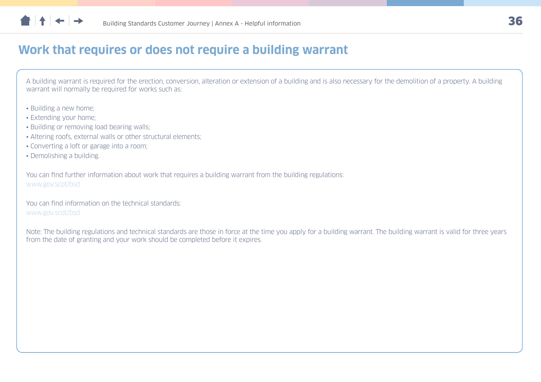

### **Work that requires or does not require a building warrant**

A building warrant is required for the erection, conversion, alteration or extension of a building and is also necessary for the demolition of a property. A building warrant will normally be required for works such as:

- Building a new home;
- Extending your home;
- Building or removing load bearing walls;
- Altering roofs, external walls or other structural elements;
- Converting a loft or garage into a room;
- Demolishing a building.

You can find further information about work that requires a building warrant from the building regulations: [www.gov.scot/bsd](http://www.gov.scot/bsd)

You can find information on the technical standards: [www.gov.scot/bsd](http://www.gov.scot/bsd)

Note: The building regulations and technical standards are those in force at the time you apply for a building warrant. The building warrant is valid for three years from the date of granting and your work should be completed before it expires.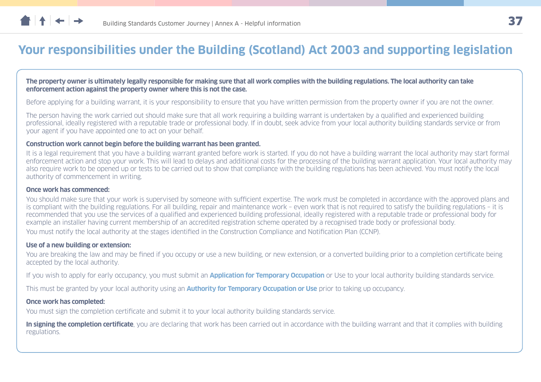<span id="page-36-0"></span>

### **Your responsibilities under the Building (Scotland) Act 2003 and supporting legislation**

#### **The property owner is ultimately legally responsible for making sure that all work complies with the building regulations. The local authority can take enforcement action against the property owner where this is not the case.**

Before applying for a building warrant, it is your responsibility to ensure that you have written permission from the property owner if you are not the owner.

The person having the work carried out should make sure that all work requiring a building warrant is undertaken by a qualified and experienced building professional, ideally registered with a reputable trade or professional body. If in doubt, seek advice from your local authority building standards service or from your agent if you have appointed one to act on your behalf.

#### **Construction work cannot begin before the building warrant has been granted.**

It is a legal requirement that you have a building warrant granted before work is started. If you do not have a building warrant the local authority may start formal enforcement action and stop your work. This will lead to delays and additional costs for the processing of the building warrant application. Your local authority may also require work to be opened up or tests to be carried out to show that compliance with the building regulations has been achieved. You must notify the local authority of commencement in writing.

#### **Once work has commenced:**

You should make sure that your work is supervised by someone with sufficient expertise. The work must be completed in accordance with the approved plans and is compliant with the building regulations. For all building, repair and maintenance work – even work that is not required to satisfy the building regulations – it is recommended that you use the services of a qualified and experienced building professional, ideally registered with a reputable trade or professional body for example an installer having current membership of an accredited registration scheme operated by a recognised trade body or professional body. You must notify the local authority at the stages identified in the Construction Compliance and Notification Plan (CCNP).

#### **Use of a new building or extension:**

You are breaking the law and may be fined if you occupy or use a new building, or new extension, or a converted building prior to a completion certificate being accepted by the local authority.

If you wish to apply for early occupancy, you must submit an **Application for Temporary Occupation** or Use to your local authority building standards service.

This must be granted by your local authority using an **Authority for Temporary Occupation or Use** prior to taking up occupancy.

#### **Once work has completed:**

You must sign the completion certificate and submit it to your local authority building standards service.

**In signing the completion certificate**, you are declaring that work has been carried out in accordance with the building warrant and that it complies with building regulations.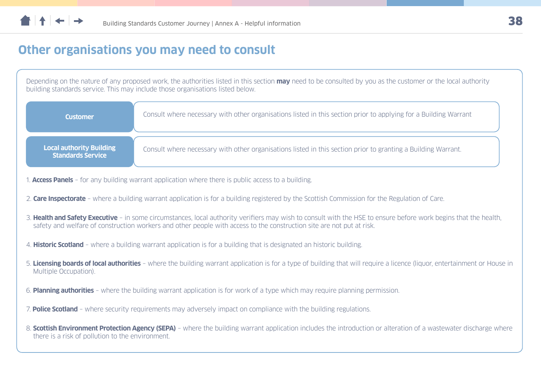<span id="page-37-0"></span>

### **Other organisations you may need to consult**

Depending on the nature of any proposed work, the authorities listed in this section **may** need to be consulted by you as the customer or the local authority building standards service. This may include those organisations listed below.

| <b>Customer</b>                                             | Consult where necessary with other organisations listed in this section prior to applying for a Building Warrant |
|-------------------------------------------------------------|------------------------------------------------------------------------------------------------------------------|
| <b>Local authority Building</b><br><b>Standards Service</b> | Consult where necessary with other organisations listed in this section prior to granting a Building Warrant.    |

- 1. **Access Panels** for any building warrant application where there is public access to a building.
- 2. **Care Inspectorate** where a building warrant application is for a building registered by the Scottish Commission for the Regulation of Care.
- 3. **Health and Safety Executive** in some circumstances, local authority verifiers may wish to consult with the HSE to ensure before work begins that the health, safety and welfare of construction workers and other people with access to the construction site are not put at risk.
- 4. **Historic Scotland** where a building warrant application is for a building that is designated an historic building.
- 5. **Licensing boards of local authorities** where the building warrant application is for a type of building that will require a licence (liquor, entertainment or House in Multiple Occupation).
- 6. **Planning authorities** where the building warrant application is for work of a type which may require planning permission.
- 7. **Police Scotland** where security requirements may adversely impact on compliance with the building regulations.
- 8. **Scottish Environment Protection Agency (SEPA)** where the building warrant application includes the introduction or alteration of a wastewater discharge where there is a risk of pollution to the environment.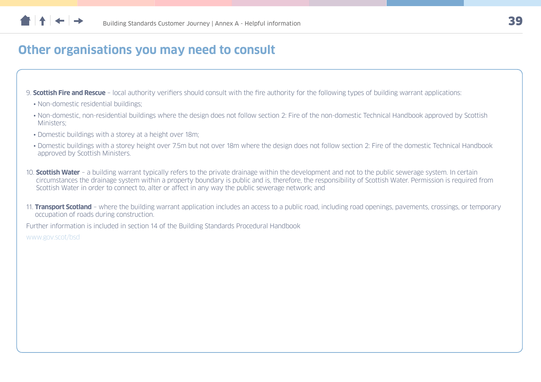

### **Other organisations you may need to consult**

9. **Scottish Fire and Rescue** – local authority verifiers should consult with the fire authority for the following types of building warrant applications:

- Non-domestic residential buildings:
- Non-domestic, non-residential buildings where the design does not follow section 2: Fire of the non-domestic Technical Handbook approved by Scottish Ministers;
- Domestic buildings with a storey at a height over 18m;
- Domestic buildings with a storey height over 7.5m but not over 18m where the design does not follow section 2: Fire of the domestic Technical Handbook approved by Scottish Ministers.
- 10. **Scottish Water** a building warrant typically refers to the private drainage within the development and not to the public sewerage system. In certain circumstances the drainage system within a property boundary is public and is, therefore, the responsibility of Scottish Water. Permission is required from Scottish Water in order to connect to, alter or affect in any way the public sewerage network; and
- 11. **Transport Scotland** where the building warrant application includes an access to a public road, including road openings, pavements, crossings, or temporary occupation of roads during construction.

Further information is included in section 14 of the Building Standards Procedural Handbook

[www.gov.scot/bsd](http://www.gov.scot/bsd)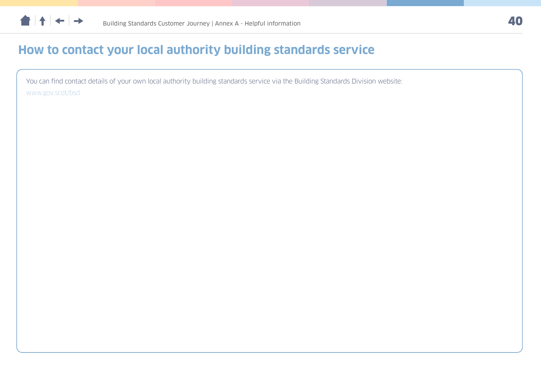<span id="page-39-0"></span>

### **How to contact your local authority building standards service**

You can find contact details of your own local authority building standards service via the Building Standards Division website: [www.gov.scot/bsd](http://www.gov.scot/bsd)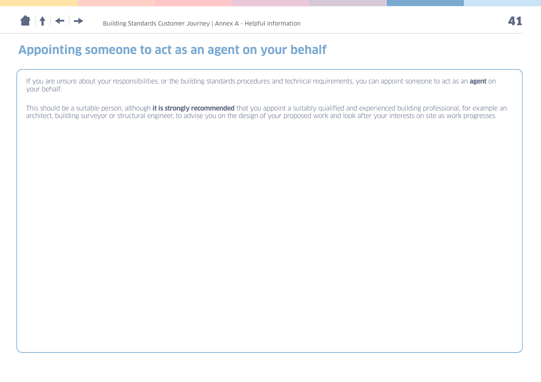<span id="page-40-0"></span>

### **Appointing someone to act as an agent on your behalf**

If you are unsure about your responsibilities, or the building standards procedures and technical requirements, you can appoint someone to act as an **agent** on your behalf.

This should be a suitable person, although **it is strongly recommended** that you appoint a suitably qualified and experienced building professional, for example an architect, building surveyor or structural engineer, to advise you on the design of your proposed work and look after your interests on site as work progresses.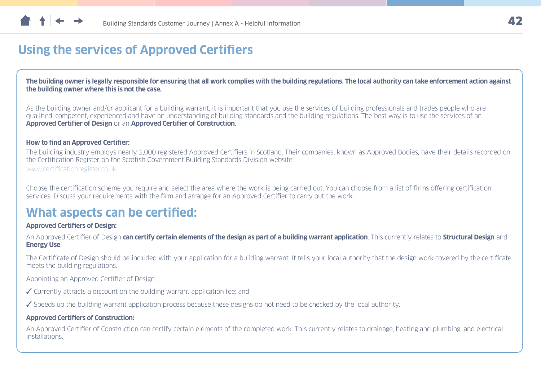<span id="page-41-0"></span>

### **Using the services of Approved Certifiers**

**The building owner is legally responsible for ensuring that all work complies with the building regulations. The local authority can take enforcement action against the building owner where this is not the case.** 

As the building owner and/or applicant for a building warrant, it is important that you use the services of building professionals and trades people who are qualified, competent, experienced and have an understanding of building standards and the building regulations. The best way is to use the services of an **Approved Certifier of Design** or an **Approved Certifier of Construction**.

#### **How to find an Approved Certifier:**

The building industry employs nearly 2,000 registered Approved Certifiers in Scotland. Their companies, known as Approved Bodies, have their details recorded on the Certification Register on the Scottish Government Building Standards Division website: [www.certificationregister.co.uk](http://www.certificationregister.co.uk)

Choose the certification scheme you require and select the area where the work is being carried out. You can choose from a list of firms offering certification services. Discuss your requirements with the firm and arrange for an Approved Certifier to carry out the work.

### **What aspects can be certified:**

#### **Approved Certifiers of Design:**

An Approved Certifier of Design **can certify certain elements of the design as part of a building warrant application**. This currently relates to **Structural Design** and **Energy Use**.

The Certificate of Design should be included with your application for a building warrant. It tells your local authority that the design work covered by the certificate meets the building regulations.

Appointing an Approved Certifier of Design:

- $\checkmark$  Currently attracts a discount on the building warrant application fee; and
- $\checkmark$  Speeds up the building warrant application process because these designs do not need to be checked by the local authority.

#### **Approved Certifiers of Construction:**

An Approved Certifier of Construction can certify certain elements of the completed work. This currently relates to drainage, heating and plumbing, and electrical installations.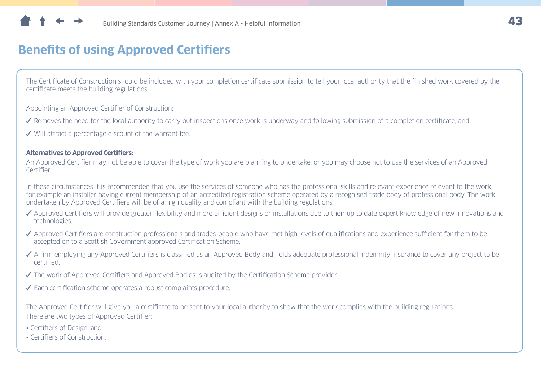<span id="page-42-0"></span>

### **Benefits of using Approved Certifiers**

The Certificate of Construction should be included with your completion certificate submission to tell your local authority that the finished work covered by the certificate meets the building regulations.

Appointing an Approved Certifier of Construction:

- ◆ Removes the need for the local authority to carry out inspections once work is underway and following submission of a completion certificate; and
- $\checkmark$  Will attract a percentage discount of the warrant fee.

#### **Alternatives to Approved Certifiers:**

An Approved Certifier may not be able to cover the type of work you are planning to undertake, or you may choose not to use the services of an Approved Certifier.

In these circumstances it is recommended that you use the services of someone who has the professional skills and relevant experience relevant to the work, for example an installer having current membership of an accredited registration scheme operated by a recognised trade body of professional body. The work undertaken by Approved Certifiers will be of a high quality and compliant with the building regulations.

- ◆ Approved Certifiers will provide greater flexibility and more efficient designs or installations due to their up to date expert knowledge of new innovations and technologies.
- ◆ Approved Certifiers are construction professionals and trades-people who have met high levels of qualifications and experience sufficient for them to be accepted on to a Scottish Government approved Certification Scheme.
- A firm employing any Approved Certifiers is classified as an Approved Body and holds adequate professional indemnity insurance to cover any project to be certified.
- ◆ The work of Approved Certifiers and Approved Bodies is audited by the Certification Scheme provider.
- $\checkmark$  Each certification scheme operates a robust complaints procedure.

The Approved Certifier will give you a certificate to be sent to your local authority to show that the work complies with the building regulations. There are two types of Approved Certifier:

- Certifiers of Design; and
- Certifiers of Construction.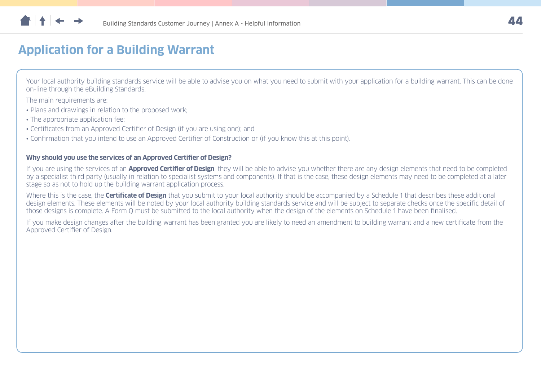<span id="page-43-0"></span>

### **Application for a Building Warrant**

Your local authority building standards service will be able to advise you on what you need to submit with your application for a building warrant. This can be done on-line through the eBuilding Standards.

The main requirements are:

- Plans and drawings in relation to the proposed work:
- The appropriate application fee:
- Certificates from an Approved Certifier of Design (if you are using one); and
- Confirmation that you intend to use an Approved Certifier of Construction or (if you know this at this point).

#### **Why should you use the services of an Approved Certifier of Design?**

If you are using the services of an **Approved Certifier of Design**, they will be able to advise you whether there are any design elements that need to be completed by a specialist third party (usually in relation to specialist systems and components). If that is the case, these design elements may need to be completed at a later stage so as not to hold up the building warrant application process.

Where this is the case, the **Certificate of Design** that you submit to your local authority should be accompanied by a Schedule 1 that describes these additional design elements. These elements will be noted by your local authority building standards service and will be subject to separate checks once the specific detail of those designs is complete. A Form Q must be submitted to the local authority when the design of the elements on Schedule 1 have been finalised.

If you make design changes after the building warrant has been granted you are likely to need an amendment to building warrant and a new certificate from the Approved Certifier of Design.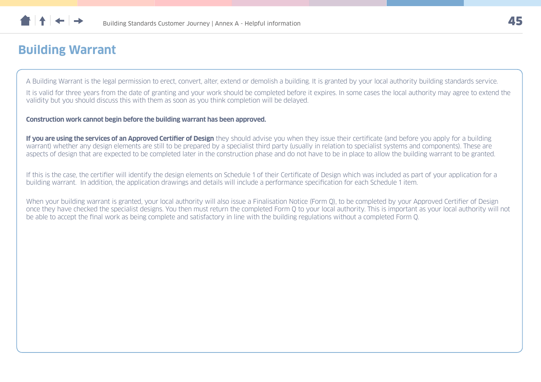<span id="page-44-0"></span>

### **Building Warrant**

A Building Warrant is the legal permission to erect, convert, alter, extend or demolish a building. It is granted by your local authority building standards service.

It is valid for three years from the date of granting and your work should be completed before it expires. In some cases the local authority may agree to extend the validity but you should discuss this with them as soon as you think completion will be delayed.

**Construction work cannot begin before the building warrant has been approved.** 

**If you are using the services of an Approved Certifier of Design** they should advise you when they issue their certificate (and before you apply for a building warrant) whether any design elements are still to be prepared by a specialist third party (usually in relation to specialist systems and components). These are aspects of design that are expected to be completed later in the construction phase and do not have to be in place to allow the building warrant to be granted.

If this is the case, the certifier will identify the design elements on Schedule 1 of their Certificate of Design which was included as part of your application for a building warrant. In addition, the application drawings and details will include a performance specification for each Schedule 1 item.

When your building warrant is granted, your local authority will also issue a Finalisation Notice (Form O), to be completed by your Approved Certifier of Design once they have checked the specialist designs. You then must return the completed Form Q to your local authority. This is important as your local authority will not be able to accept the final work as being complete and satisfactory in line with the building regulations without a completed Form Q.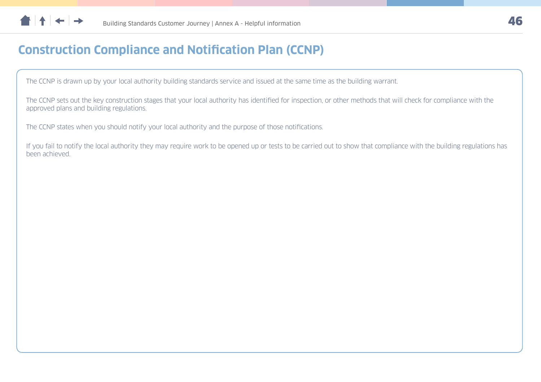<span id="page-45-0"></span>

### **Construction Compliance and Notification Plan (CCNP)**

The CCNP is drawn up by your local authority building standards service and issued at the same time as the building warrant.

The CCNP sets out the key construction stages that your local authority has identified for inspection, or other methods that will check for compliance with the approved plans and building regulations.

The CCNP states when you should notify your local authority and the purpose of those notifications.

If you fail to notify the local authority they may require work to be opened up or tests to be carried out to show that compliance with the building regulations has been achieved.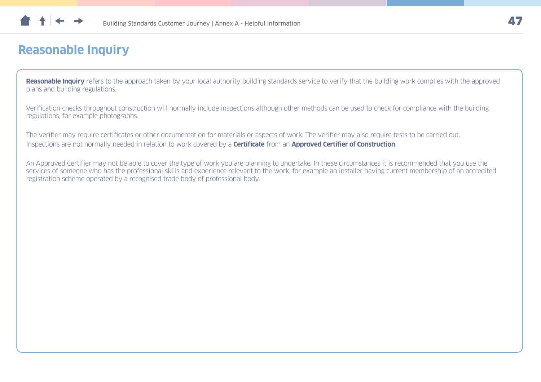<span id="page-46-0"></span>

### **Reasonable Inquiry**

**Reasonable Inquiry** refers to the approach taken by your local authority building standards service to verify that the building work complies with the approved plans and building regulations.

Verification checks throughout construction will normally include inspections although other methods can be used to check for compliance with the building regulations, for example photographs.

The verifier may require certificates or other documentation for materials or aspects of work. The verifier may also require tests to be carried out. Inspections are not normally needed in relation to work covered by a **Certificate** from an **Approved Certifier of Construction**.

An Approved Certifier may not be able to cover the type of work you are planning to undertake. In these circumstances it is recommended that you use the services of someone who has the professional skills and experience relevant to the work, for example an installer having current membership of an accredited registration scheme operated by a recognised trade body of professional body.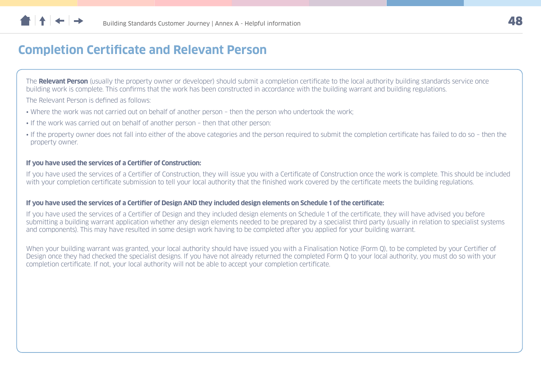<span id="page-47-0"></span>

### **Completion Certificate and Relevant Person**

The **Relevant Person** (usually the property owner or developer) should submit a completion certificate to the local authority building standards service once building work is complete. This confirms that the work has been constructed in accordance with the building warrant and building regulations.

The Relevant Person is defined as follows:

- Where the work was not carried out on behalf of another person then the person who undertook the work;
- If the work was carried out on behalf of another person then that other person:
- If the property owner does not fall into either of the above categories and the person required to submit the completion certificate has failed to do so then the property owner.

#### **If you have used the services of a Certifier of Construction:**

If you have used the services of a Certifier of Construction, they will issue you with a Certificate of Construction once the work is complete. This should be included with your completion certificate submission to tell your local authority that the finished work covered by the certificate meets the building regulations.

#### **If you have used the services of a Certifier of Design AND they included design elements on Schedule 1 of the certificate:**

If you have used the services of a Certifier of Design and they included design elements on Schedule 1 of the certificate, they will have advised you before submitting a building warrant application whether any design elements needed to be prepared by a specialist third party (usually in relation to specialist systems and components). This may have resulted in some design work having to be completed after you applied for your building warrant.

When your building warrant was granted, your local authority should have issued you with a Finalisation Notice (Form O), to be completed by your Certifier of Design once they had checked the specialist designs. If you have not already returned the completed Form Q to your local authority, you must do so with your completion certificate. If not, your local authority will not be able to accept your completion certificate.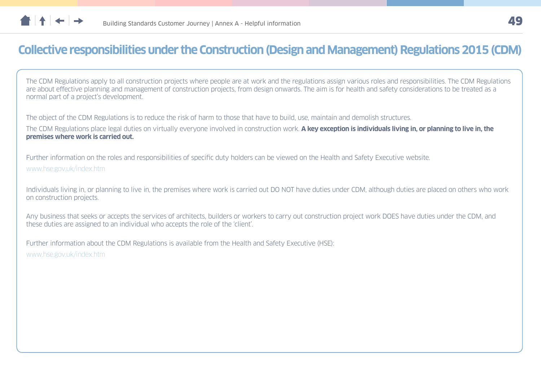<span id="page-48-0"></span>

### **Collective responsibilities under the Construction (Design and Management) Regulations 2015 (CDM)**

The CDM Regulations apply to all construction projects where people are at work and the regulations assign various roles and responsibilities. The CDM Regulations are about effective planning and management of construction projects, from design onwards. The aim is for health and safety considerations to be treated as a normal part of a project's development.

The object of the CDM Regulations is to reduce the risk of harm to those that have to build, use, maintain and demolish structures.

The CDM Regulations place legal duties on virtually everyone involved in construction work. **A key exception is individuals living in, or planning to live in, the premises where work is carried out.**

Further information on the roles and responsibilities of specific duty holders can be viewed on the Health and Safety Executive website.

[www.hse.gov.uk/index.htm](http://www.hse.gov.uk/index.htm)

Individuals living in, or planning to live in, the premises where work is carried out DO NOT have duties under CDM, although duties are placed on others who work on construction projects.

Any business that seeks or accepts the services of architects, builders or workers to carry out construction project work DOES have duties under the CDM, and these duties are assigned to an individual who accepts the role of the 'client'.

Further information about the CDM Regulations is available from the Health and Safety Executive (HSE):

[www.hse.gov.uk/index.htm](http://www.hse.gov.uk/index.htm)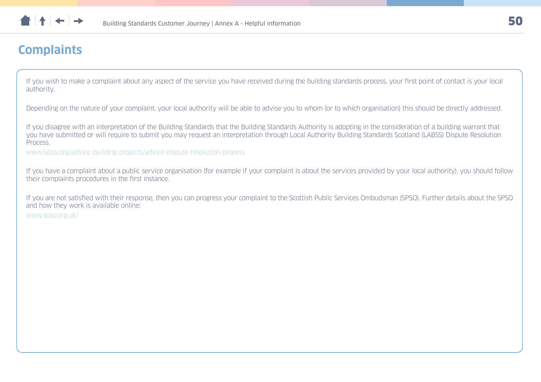<span id="page-49-0"></span>

### **Complaints**

If you wish to make a complaint about any aspect of the service you have received during the building standards process, your first point of contact is your local authority.

Depending on the nature of your complaint, your local authority will be able to advise you to whom (or to which organisation) this should be directly addressed.

If you disagree with an interpretation of the Building Standards that the Building Standards Authority is adopting in the consideration of a building warrant that you have submitted or will require to submit you may request an interpretation through Local Authority Building Standards Scotland (LABSS) Dispute Resolution Process.

[www.labss.org/advice-building-projects/advice-dispute-resolution-process](http://www.labss.org/advice-building-projects/advice-dispute-resolution-process)

If you have a complaint about a public service organisation (for example if your complaint is about the services provided by your local authority), you should follow their complaints procedures in the first instance.

If you are not satisfied with their response, then you can progress your complaint to the Scottish Public Services Ombudsman (SPSO). Further details about the SPSO and how they work is available online:

[www.spso.org.uk/](http://www.spso.org.uk/)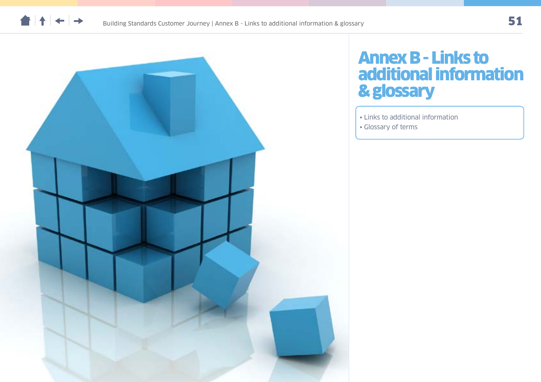



## Annex B - Links to additional information & glossary

- [Links to additional information](#page-51-0)
- [Glossary of terms](#page-53-0)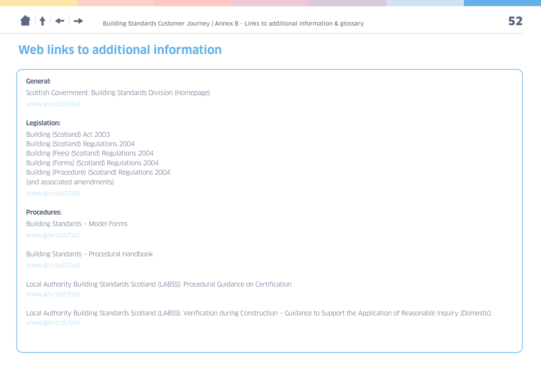<span id="page-51-0"></span>

### **Web links to additional information**

#### **General:**

Scottish Government: Building Standards Division (Homepage) [www.gov.scot/bsd](http://www.gov.scot/bsd)

#### **Legislation:**

Building (Scotland) Act 2003 Building (Scotland) Regulations 2004 Building (Fees) (Scotland) Regulations 2004 Building (Forms) (Scotland) Regulations 2004 Building (Procedure) (Scotland) Regulations 2004 (and associated amendments) [www.gov.scot/bsd](http://www.gov.scot/bsd)

#### **Procedures:**

Building Standards – Model Forms [www.gov.scot/bsd](http://www.gov.scot/bsd)

Building Standards – Procedural Handbook [www.gov.scot/bsd](http://www.gov.scot/bsd)

Local Authority Building Standards Scotland (LABSS): Procedural Guidance on Certification [www.gov.scot/bsd](http://www.gov.scot/bsd)

Local Authority Building Standards Scotland (LABSS): Verification during Construction – Guidance to Support the Application of Reasonable Inquiry (Domestic) [www.gov.scot/bsd](http://www.gov.scot/bsd)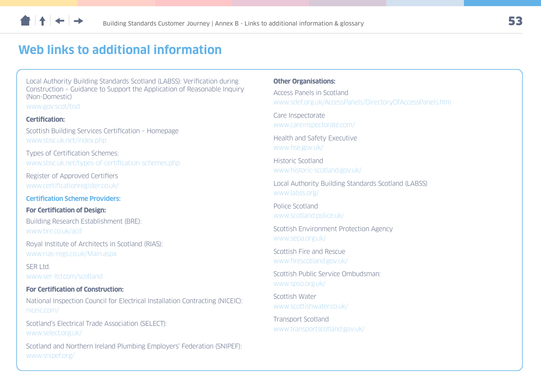

### **Web links to additional information**

Local Authority Building Standards Scotland (LABSS): Verification during Construction – Guidance to Support the Application of Reasonable Inquiry (Non-Domestic)

[www.gov.scot/bsd](http://www.gov.scot/bsd)

#### **Certification:**

Scottish Building Services Certification – Homepage [www.sbsc.uk.net/index.php](http://www.sbsc.uk.net/index.php)

Types of Certification Schemes: [www.sbsc.uk.net/types-of-certification-schemes.php](http://www.sbsc.uk.net/types-of-certification-schemes.php)

Register of Approved Certifiers [www.certificationregister.co.uk/](http://www.certificationregister.co.uk/)

#### **Certification Scheme Providers:**

#### **For Certification of Design:**

Building Research Establishment (BRE): [www.bre.co.uk/acd](http://www.bre.co.uk/acd)

Royal Institute of Architects in Scotland (RIAS): [www.rias-regs.co.uk/Main.aspx](http://www.rias-regs.co.uk/Main.aspx)

SER Ltd. [www.ser-ltd.com/scotland](http://www.ser-ltd.com/scotland)

#### **For Certification of Construction:**

National Inspection Council for Electrical Installation Contracting (NICEIC): [niceic.com/](http://niceic.com/)

Scotland's Electrical Trade Association (SELECT): [www.select.org.uk/](http://www.select.org.uk/)

Scotland and Northern Ireland Plumbing Employers' Federation (SNIPEF): [www.snipef.org/](http://www.snipef.org/)

#### **Other Organisations:**

Access Panels in Scotland [www.sdef.org.uk/AccessPanels/DirectoryOfAccessPanels.htm](http://www.sdef.org.uk/AccessPanels/DirectoryOfAccessPanels.htm)

Care Inspectorate [www.careinspectorate.com/](http://www.careinspectorate.com/)

Health and Safety Executive [www.hse.gov.uk/](http://www.hse.gov.uk/)

Historic Scotland [www.historic-scotland.gov.uk/](http://www.historic-scotland.gov.uk/)

Local Authority Building Standards Scotland (LABSS) [www.labss.org/](http://www.labss.org/)

Police Scotland [www.scotland.police.uk/](http://www.scotland.police.uk/)

Scottish Environment Protection Agency [www.sepa.org.uk/](http://www.sepa.org.uk/)

Scottish Fire and Rescue [www.firescotland.gov.uk/](http://www.firescotland.gov.uk/)

Scottish Public Service Ombudsman: [www.spso.org.uk/](http://www.spso.org.uk/)

Scottish Water [www.scottishwater.co.uk/](http://www.scottishwater.co.uk/)

Transport Scotland [www.transportscotland.gov.uk/](http://www.transportscotland.gov.uk/)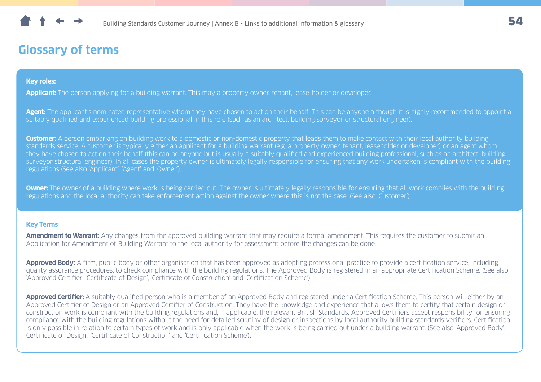### <span id="page-53-0"></span>**Glossary of terms**

#### **Key roles:**

**Applicant:** The person applying for a building warrant. This may a property owner, tenant, lease-holder or developer.

Agent: The applicant's nominated representative whom they have chosen to act on their behalf. This can be anyone although it is highly recommended to appoint a suitably qualified and experienced building professional in this role (such as an architect, building surveyor or structural engineer).

**Customer:** A person embarking on building work to a domestic or non-domestic property that leads them to make contact with their local authority building standards service. A customer is typically either an applicant for a building warrant (e.g. a property owner, tenant, leaseholder or developer) or an agent whom they have chosen to act on their behalf (this can be anyone but is usually a suitably qualified and experienced building professional, such as an architect, building surveyor structural engineer). In all cases the property owner is ultimately legally responsible for ensuring that any work undertaken is compliant with the building regulations (See also 'Applicant', 'Agent' and 'Owner').

**Owner:** The owner of a building where work is being carried out. The owner is ultimately legally responsible for ensuring that all work complies with the building regulations and the local authority can take enforcement action against the owner where this is not the case. (See also 'Customer').

#### **Key Terms**

**Amendment to Warrant:** Any changes from the approved building warrant that may require a formal amendment. This requires the customer to submit an Application for Amendment of Building Warrant to the local authority for assessment before the changes can be done.

**Approved Body:** A firm, public body or other organisation that has been approved as adopting professional practice to provide a certification service, including quality assurance procedures, to check compliance with the building regulations. The Approved Body is registered in an appropriate Certification Scheme. (See also 'Approved Certifier', Certificate of Design', 'Certificate of Construction' and 'Certification Scheme').

**Approved Certifier:** A suitably qualified person who is a member of an Approved Body and registered under a Certification Scheme. This person will either by an Approved Certifier of Design or an Approved Certifier of Construction. They have the knowledge and experience that allows them to certify that certain design or construction work is compliant with the building regulations and, if applicable, the relevant British Standards. Approved Certifiers accept responsibility for ensuring compliance with the building regulations without the need for detailed scrutiny of design or inspections by local authority building standards verifiers. Certification is only possible in relation to certain types of work and is only applicable when the work is being carried out under a building warrant. (See also 'Approved Body', Certificate of Design', 'Certificate of Construction' and 'Certification Scheme').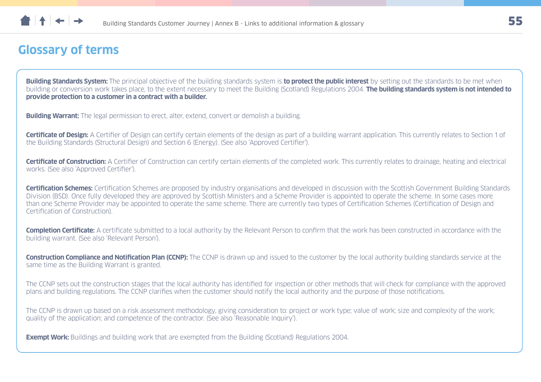

### **Glossary of terms**

**Building Standards System:** The principal objective of the building standards system is **to protect the public interest** by setting out the standards to be met when building or conversion work takes place, to the extent necessary to meet the Building (Scotland) Regulations 2004. **The building standards system is not intended to provide protection to a customer in a contract with a builder.**

**Building Warrant:** The legal permission to erect, alter, extend, convert or demolish a building.

**Certificate of Design:** A Certifier of Design can certify certain elements of the design as part of a building warrant application. This currently relates to Section 1 of the Building Standards (Structural Design) and Section 6 (Energy). (See also 'Approved Certifier').

**Certificate of Construction:** A Certifier of Construction can certify certain elements of the completed work. This currently relates to drainage, heating and electrical works. (See also 'Approved Certifier').

**Certification Schemes:** Certification Schemes are proposed by industry organisations and developed in discussion with the Scottish Government Building Standards Division (BSD). Once fully developed they are approved by Scottish Ministers and a Scheme Provider is appointed to operate the scheme. In some cases more than one Scheme Provider may be appointed to operate the same scheme. There are currently two types of Certification Schemes (Certification of Design and Certification of Construction).

**Completion Certificate:** A certificate submitted to a local authority by the Relevant Person to confirm that the work has been constructed in accordance with the building warrant. (See also 'Relevant Person').

**Construction Compliance and Notification Plan (CCNP):** The CCNP is drawn up and issued to the customer by the local authority building standards service at the same time as the Building Warrant is granted.

The CCNP sets out the construction stages that the local authority has identified for inspection or other methods that will check for compliance with the approved plans and building regulations. The CCNP clarifies when the customer should notify the local authority and the purpose of those notifications.

The CCNP is drawn up based on a risk assessment methodology, giving consideration to: project or work type; value of work; size and complexity of the work; quality of the application; and competence of the contractor. (See also 'Reasonable Inquiry').

**Exempt Work:** Buildings and building work that are exempted from the Building (Scotland) Regulations 2004.